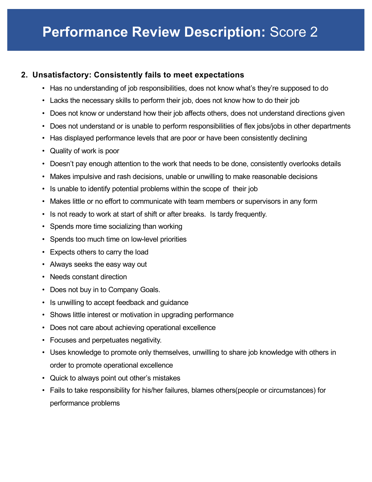# **2. Unsatisfactory: Consistently fails to meet expectations**

- Has no understanding of job responsibilities, does not know what's they're supposed to do
- Lacks the necessary skills to perform their job, does not know how to do their job
- Does not know or understand how their job affects others, does not understand directions given
- Does not understand or is unable to perform responsibilities of flex jobs/jobs in other departments
- Has displayed performance levels that are poor or have been consistently declining
- Quality of work is poor
- Doesn't pay enough attention to the work that needs to be done, consistently overlooks details
- Makes impulsive and rash decisions, unable or unwilling to make reasonable decisions
- Is unable to identify potential problems within the scope of their job
- Makes little or no effort to communicate with team members or supervisors in any form
- Is not ready to work at start of shift or after breaks. Is tardy frequently.
- Spends more time socializing than working
- Spends too much time on low-level priorities
- Expects others to carry the load
- Always seeks the easy way out
- Needs constant direction
- Does not buy in to Company Goals.
- Is unwilling to accept feedback and guidance
- Shows little interest or motivation in upgrading performance
- Does not care about achieving operational excellence
- Focuses and perpetuates negativity.
- Uses knowledge to promote only themselves, unwilling to share job knowledge with others in order to promote operational excellence
- Quick to always point out other's mistakes
- Fails to take responsibility for his/her failures, blames others(people or circumstances) for performance problems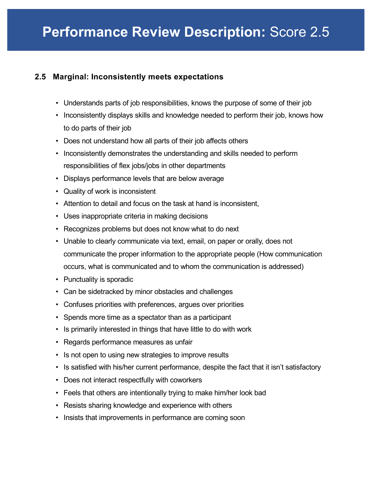## **2.5 Marginal: Inconsistently meets expectations**

- Understands parts of job responsibilities, knows the purpose of some of their job
- Inconsistently displays skills and knowledge needed to perform their job, knows how to do parts of their job
- Does not understand how all parts of their job affects others
- Inconsistently demonstrates the understanding and skills needed to perform responsibilities of flex jobs/jobs in other departments
- Displays performance levels that are below average
- Quality of work is inconsistent
- Attention to detail and focus on the task at hand is inconsistent,
- Uses inappropriate criteria in making decisions
- Recognizes problems but does not know what to do next
- Unable to clearly communicate via text, email, on paper or orally, does not communicate the proper information to the appropriate people (How communication occurs, what is communicated and to whom the communication is addressed)
- Punctuality is sporadic
- Can be sidetracked by minor obstacles and challenges
- Confuses priorities with preferences, argues over priorities
- Spends more time as a spectator than as a participant
- Is primarily interested in things that have little to do with work
- Regards performance measures as unfair
- Is not open to using new strategies to improve results
- Is satisfied with his/her current performance, despite the fact that it isn't satisfactory
- Does not interact respectfully with coworkers
- Feels that others are intentionally trying to make him/her look bad
- Resists sharing knowledge and experience with others
- Insists that improvements in performance are coming soon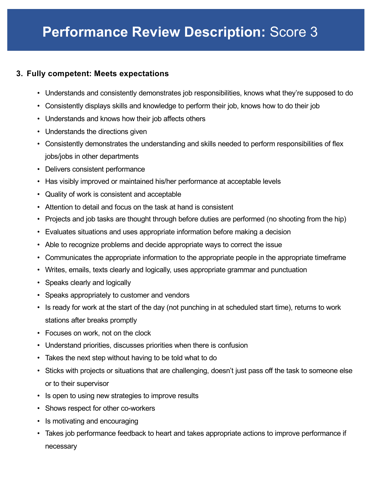### **3. Fully competent: Meets expectations**

- Understands and consistently demonstrates job responsibilities, knows what they're supposed to do
- Consistently displays skills and knowledge to perform their job, knows how to do their job
- Understands and knows how their job affects others
- Understands the directions given
- Consistently demonstrates the understanding and skills needed to perform responsibilities of flex jobs/jobs in other departments
- Delivers consistent performance
- Has visibly improved or maintained his/her performance at acceptable levels
- Quality of work is consistent and acceptable
- Attention to detail and focus on the task at hand is consistent
- Projects and job tasks are thought through before duties are performed (no shooting from the hip)
- Evaluates situations and uses appropriate information before making a decision
- Able to recognize problems and decide appropriate ways to correct the issue
- Communicates the appropriate information to the appropriate people in the appropriate timeframe
- Writes, emails, texts clearly and logically, uses appropriate grammar and punctuation
- Speaks clearly and logically
- Speaks appropriately to customer and vendors
- Is ready for work at the start of the day (not punching in at scheduled start time), returns to work stations after breaks promptly
- Focuses on work, not on the clock
- Understand priorities, discusses priorities when there is confusion
- Takes the next step without having to be told what to do
- Sticks with projects or situations that are challenging, doesn't just pass off the task to someone else or to their supervisor
- Is open to using new strategies to improve results
- Shows respect for other co-workers
- Is motivating and encouraging
- Takes job performance feedback to heart and takes appropriate actions to improve performance if necessary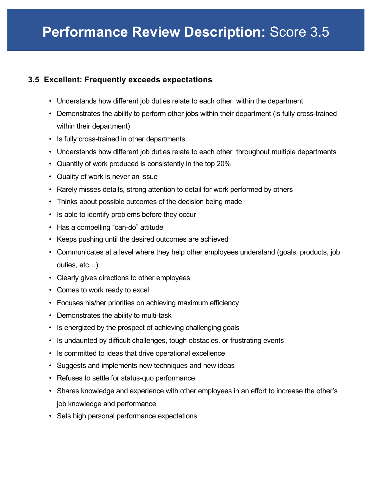### **3.5 Excellent: Frequently exceeds expectations**

- Understands how different job duties relate to each other within the department
- Demonstrates the ability to perform other jobs within their department (is fully cross-trained within their department)
- Is fully cross-trained in other departments
- Understands how different job duties relate to each other throughout multiple departments
- Quantity of work produced is consistently in the top 20%
- Quality of work is never an issue
- Rarely misses details, strong attention to detail for work performed by others
- Thinks about possible outcomes of the decision being made
- Is able to identify problems before they occur
- Has a compelling "can-do" attitude
- Keeps pushing until the desired outcomes are achieved
- Communicates at a level where they help other employees understand (goals, products, job duties, etc…)
- Clearly gives directions to other employees
- Comes to work ready to excel
- Focuses his/her priorities on achieving maximum efficiency
- Demonstrates the ability to multi-task
- Is energized by the prospect of achieving challenging goals
- Is undaunted by difficult challenges, tough obstacles, or frustrating events
- Is committed to ideas that drive operational excellence
- Suggests and implements new techniques and new ideas
- Refuses to settle for status-quo performance
- Shares knowledge and experience with other employees in an effort to increase the other's job knowledge and performance
- Sets high personal performance expectations